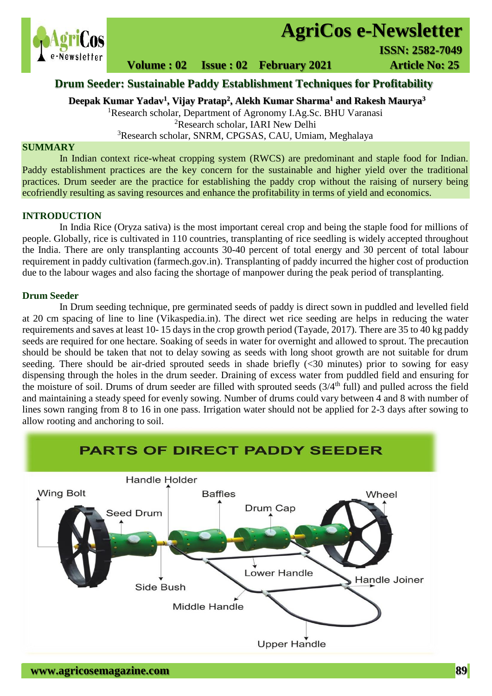

# **AgriCos e-Newsletter**

 **Volume : 02 Issue : 02 February 2021 4rticle No: 25** 

# **Drum Seeder: Sustainable Paddy Establishment Techniques for Profitability**

**Deepak Kumar Yadav<sup>1</sup> , Vijay Pratap<sup>2</sup> , Alekh Kumar Sharma<sup>1</sup> and Rakesh Maurya<sup>3</sup>**

<sup>1</sup>Research scholar, Department of Agronomy I.Ag.Sc. BHU Varanasi <sup>2</sup>Research scholar, IARI New Delhi

<sup>3</sup>Research scholar, SNRM, CPGSAS, CAU, Umiam, Meghalaya

## **SUMMARY**

 In Indian context rice-wheat cropping system (RWCS) are predominant and staple food for Indian. Paddy establishment practices are the key concern for the sustainable and higher yield over the traditional practices. Drum seeder are the practice for establishing the paddy crop without the raising of nursery being ecofriendly resulting as saving resources and enhance the profitability in terms of yield and economics.

#### **INTRODUCTION**

In India Rice (Oryza sativa) is the most important cereal crop and being the staple food for millions of people. Globally, rice is cultivated in 110 countries, transplanting of rice seedling is widely accepted throughout the India. There are only transplanting accounts 30-40 percent of total energy and 30 percent of total labour requirement in paddy cultivation (farmech.gov.in). Transplanting of paddy incurred the higher cost of production due to the labour wages and also facing the shortage of manpower during the peak period of transplanting.

# **Drum Seeder**

In Drum seeding technique, pre germinated seeds of paddy is direct sown in puddled and levelled field at 20 cm spacing of line to line (Vikaspedia.in). The direct wet rice seeding are helps in reducing the water requirements and saves at least 10- 15 days in the crop growth period (Tayade, 2017). There are 35 to 40 kg paddy seeds are required for one hectare. Soaking of seeds in water for overnight and allowed to sprout. The precaution should be should be taken that not to delay sowing as seeds with long shoot growth are not suitable for drum seeding. There should be air-dried sprouted seeds in shade briefly  $\langle$  <30 minutes) prior to sowing for easy dispensing through the holes in the drum seeder. Draining of excess water from puddled field and ensuring for the moisture of soil. Drums of drum seeder are filled with sprouted seeds  $(3/4<sup>th</sup>$  full) and pulled across the field and maintaining a steady speed for evenly sowing. Number of drums could vary between 4 and 8 with number of lines sown ranging from 8 to 16 in one pass. Irrigation water should not be applied for 2-3 days after sowing to allow rooting and anchoring to soil.

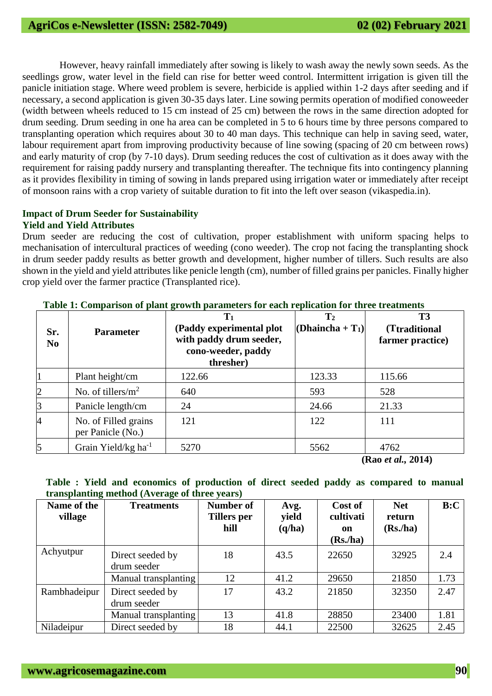However, heavy rainfall immediately after sowing is likely to wash away the newly sown seeds. As the seedlings grow, water level in the field can rise for better weed control. Intermittent irrigation is given till the panicle initiation stage. Where weed problem is severe, herbicide is applied within 1-2 days after seeding and if necessary, a second application is given 30-35 days later. Line sowing permits operation of modified conoweeder (width between wheels reduced to 15 cm instead of 25 cm) between the rows in the same direction adopted for drum seeding. Drum seeding in one ha area can be completed in 5 to 6 hours time by three persons compared to transplanting operation which requires about 30 to 40 man days. This technique can help in saving seed, water, labour requirement apart from improving productivity because of line sowing (spacing of 20 cm between rows) and early maturity of crop (by 7-10 days). Drum seeding reduces the cost of cultivation as it does away with the requirement for raising paddy nursery and transplanting thereafter. The technique fits into contingency planning as it provides flexibility in timing of sowing in lands prepared using irrigation water or immediately after receipt of monsoon rains with a crop variety of suitable duration to fit into the left over season (vikaspedia.in).

# **Impact of Drum Seeder for Sustainability Yield and Yield Attributes**

Drum seeder are reducing the cost of cultivation, proper establishment with uniform spacing helps to mechanisation of intercultural practices of weeding (cono weeder). The crop not facing the transplanting shock in drum seeder paddy results as better growth and development, higher number of tillers. Such results are also shown in the yield and yield attributes like penicle length (cm), number of filled grains per panicles. Finally higher crop yield over the farmer practice (Transplanted rice).

| Sr.<br>N <sub>0</sub> | <b>Parameter</b>                          | 0<br>$T_1$<br>(Paddy experimental plot<br>with paddy drum seeder,<br>cono-weeder, paddy<br>thresher) | $\mathbf{T}_2$<br>(Dhaincha + $T_1$ ) | <b>T3</b><br>(Ttraditional)<br>farmer practice) |
|-----------------------|-------------------------------------------|------------------------------------------------------------------------------------------------------|---------------------------------------|-------------------------------------------------|
|                       | Plant height/cm                           | 122.66                                                                                               | 123.33                                | 115.66                                          |
| $\overline{2}$        | No. of tillers/ $m^2$                     | 640                                                                                                  | 593                                   | 528                                             |
| $\overline{3}$        | Panicle length/cm                         | 24                                                                                                   | 24.66                                 | 21.33                                           |
| $\overline{4}$        | No. of Filled grains<br>per Panicle (No.) | 121                                                                                                  | 122                                   | 111                                             |
| 5                     | Grain Yield/kg ha <sup>-1</sup>           | 5270                                                                                                 | 5562                                  | 4762                                            |
|                       |                                           |                                                                                                      |                                       | (Rao et al., 2014)                              |

**Table 1: Comparison of plant growth parameters for each replication for three treatments**

**Table : Yield and economics of production of direct seeded paddy as compared to manual** 

| transplanting method (Average of three years) |                                 |                                  |                         |                                        |                                            |      |  |  |
|-----------------------------------------------|---------------------------------|----------------------------------|-------------------------|----------------------------------------|--------------------------------------------|------|--|--|
| Name of the<br>village                        | <b>Treatments</b>               | Number of<br>Tillers per<br>hill | Avg.<br>yield<br>(q/ha) | Cost of<br>cultivati<br>on<br>(Rs./ha) | <b>Net</b><br>return<br>(Rs <sub>n</sub> ) | B:C  |  |  |
| Achyutpur                                     | Direct seeded by<br>drum seeder | 18                               | 43.5                    | 22650                                  | 32925                                      | 2.4  |  |  |
|                                               | Manual transplanting            | 12                               | 41.2                    | 29650                                  | 21850                                      | 1.73 |  |  |
| Rambhadeipur                                  | Direct seeded by<br>drum seeder | 17                               | 43.2                    | 21850                                  | 32350                                      | 2.47 |  |  |
|                                               | Manual transplanting            | 13                               | 41.8                    | 28850                                  | 23400                                      | 1.81 |  |  |
| Niladeipur                                    | Direct seeded by                | 18                               | 44.1                    | 22500                                  | 32625                                      | 2.45 |  |  |